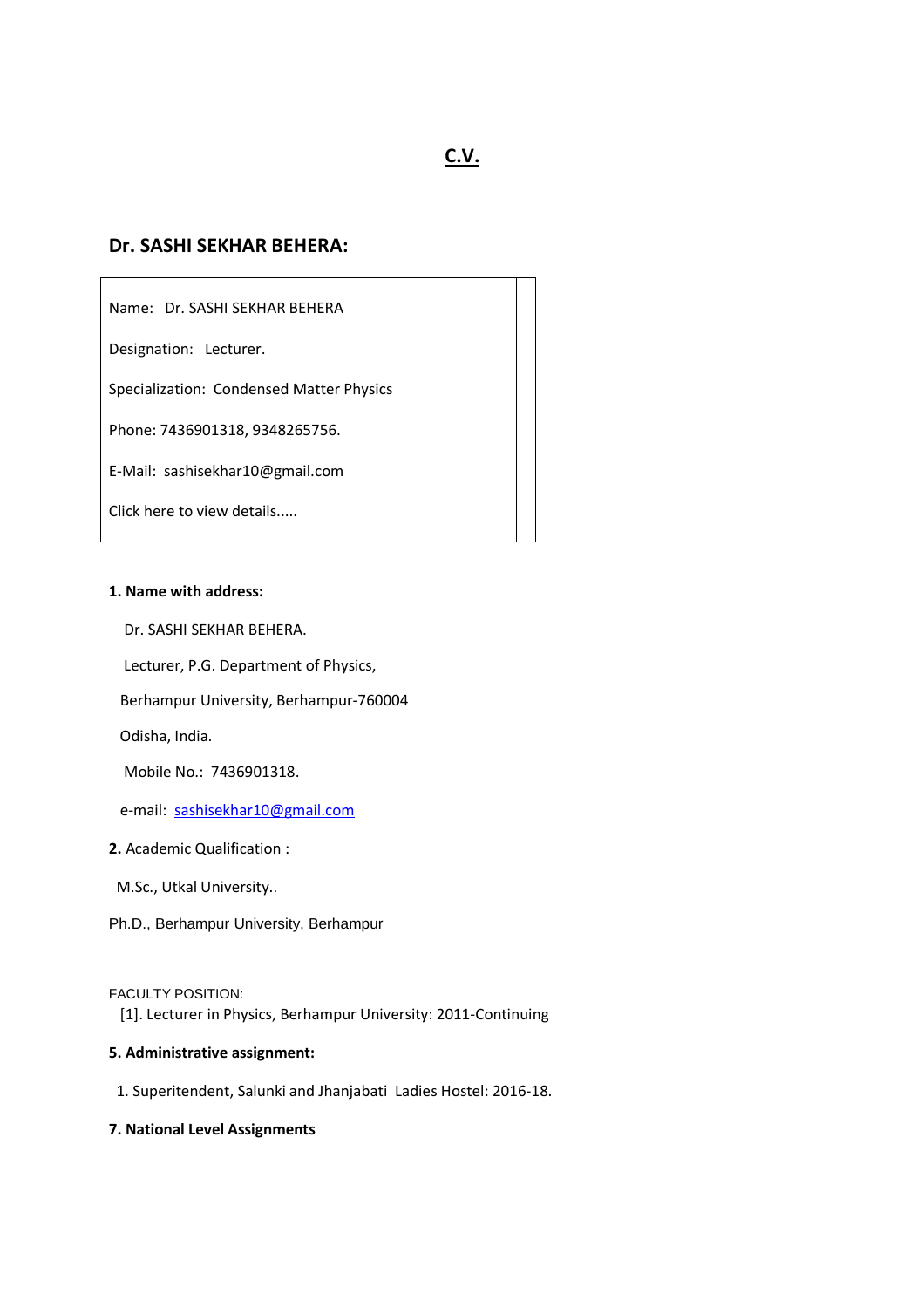# **C.V.**

# **Dr. SASHI SEKHAR BEHERA:**

Name: Dr. SASHI SEKHAR BEHERA

Designation: Lecturer.

Specialization: Condensed Matter Physics

Phone: 7436901318, 9348265756.

E-Mail: sashisekhar10@gmail.com

Click here to view details.....

# **1. Name with address:**

Dr. SASHI SEKHAR BEHERA.

Lecturer, P.G. Department of Physics,

Berhampur University, Berhampur-760004

Odisha, India.

Mobile No.: 7436901318.

e-mail: sashisekhar10@gmail.com

## **2.** Academic Qualification :

M.Sc., Utkal University..

Ph.D., Berhampur University, Berhampur

FACULTY POSITION:

[1]. Lecturer in Physics, Berhampur University: 2011-Continuing

# **5. Administrative assignment:**

1. Superitendent, Salunki and Jhanjabati Ladies Hostel: 2016-18.

# **7. National Level Assignments**